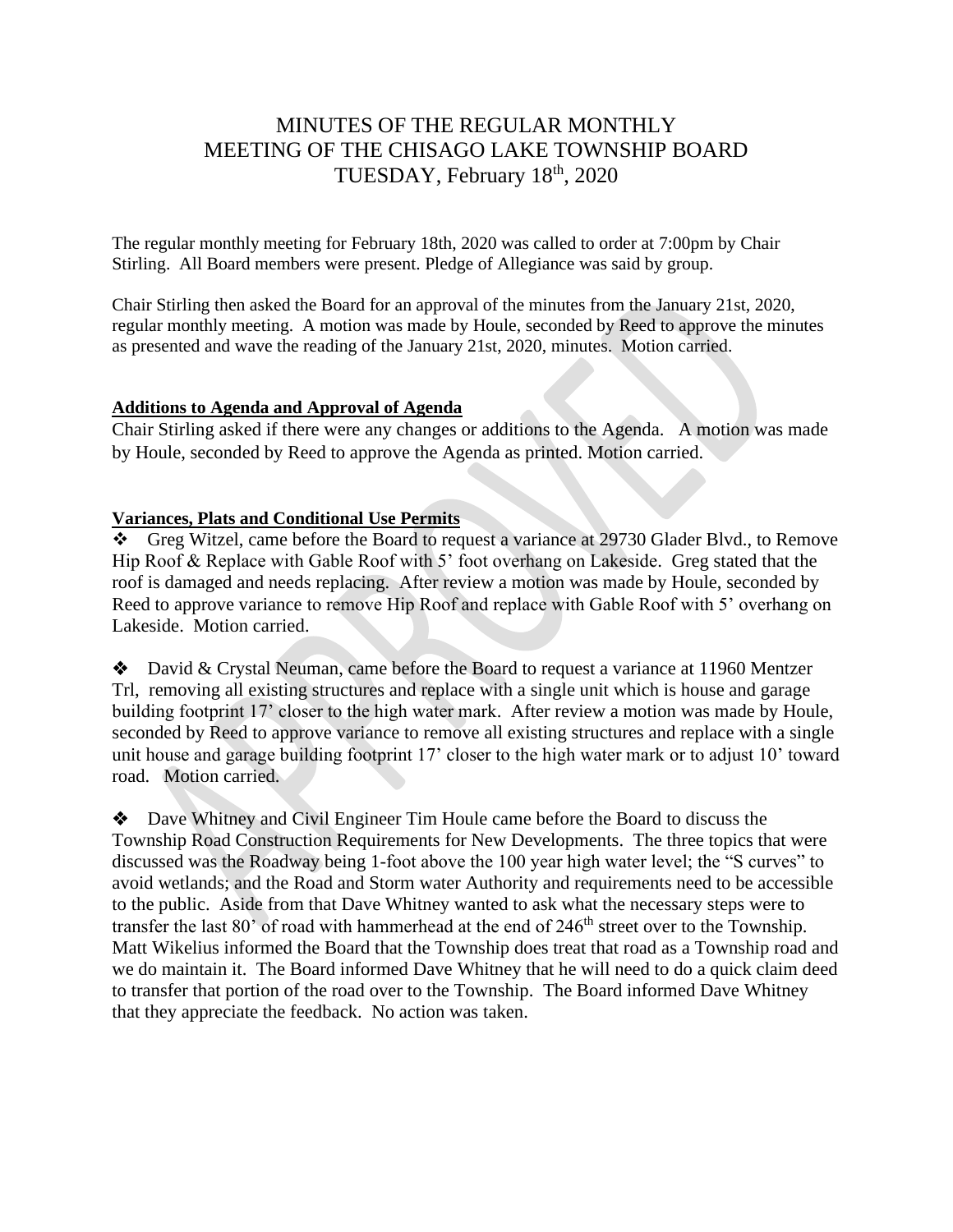# MINUTES OF THE REGULAR MONTHLY MEETING OF THE CHISAGO LAKE TOWNSHIP BOARD TUESDAY, February 18<sup>th</sup>, 2020

The regular monthly meeting for February 18th, 2020 was called to order at 7:00pm by Chair Stirling. All Board members were present. Pledge of Allegiance was said by group.

Chair Stirling then asked the Board for an approval of the minutes from the January 21st, 2020, regular monthly meeting. A motion was made by Houle, seconded by Reed to approve the minutes as presented and wave the reading of the January 21st, 2020, minutes. Motion carried.

#### **Additions to Agenda and Approval of Agenda**

Chair Stirling asked if there were any changes or additions to the Agenda. A motion was made by Houle, seconded by Reed to approve the Agenda as printed. Motion carried.

## **Variances, Plats and Conditional Use Permits**

❖ Greg Witzel, came before the Board to request a variance at 29730 Glader Blvd., to Remove Hip Roof & Replace with Gable Roof with 5' foot overhang on Lakeside. Greg stated that the roof is damaged and needs replacing. After review a motion was made by Houle, seconded by Reed to approve variance to remove Hip Roof and replace with Gable Roof with 5' overhang on Lakeside. Motion carried.

❖David & Crystal Neuman, came before the Board to request a variance at 11960 Mentzer Trl, removing all existing structures and replace with a single unit which is house and garage building footprint 17' closer to the high water mark. After review a motion was made by Houle, seconded by Reed to approve variance to remove all existing structures and replace with a single unit house and garage building footprint 17' closer to the high water mark or to adjust 10' toward road. Motion carried.

❖Dave Whitney and Civil Engineer Tim Houle came before the Board to discuss the Township Road Construction Requirements for New Developments. The three topics that were discussed was the Roadway being 1-foot above the 100 year high water level; the "S curves" to avoid wetlands; and the Road and Storm water Authority and requirements need to be accessible to the public. Aside from that Dave Whitney wanted to ask what the necessary steps were to transfer the last  $80'$  of road with hammerhead at the end of  $246<sup>th</sup>$  street over to the Township. Matt Wikelius informed the Board that the Township does treat that road as a Township road and we do maintain it. The Board informed Dave Whitney that he will need to do a quick claim deed to transfer that portion of the road over to the Township. The Board informed Dave Whitney that they appreciate the feedback. No action was taken.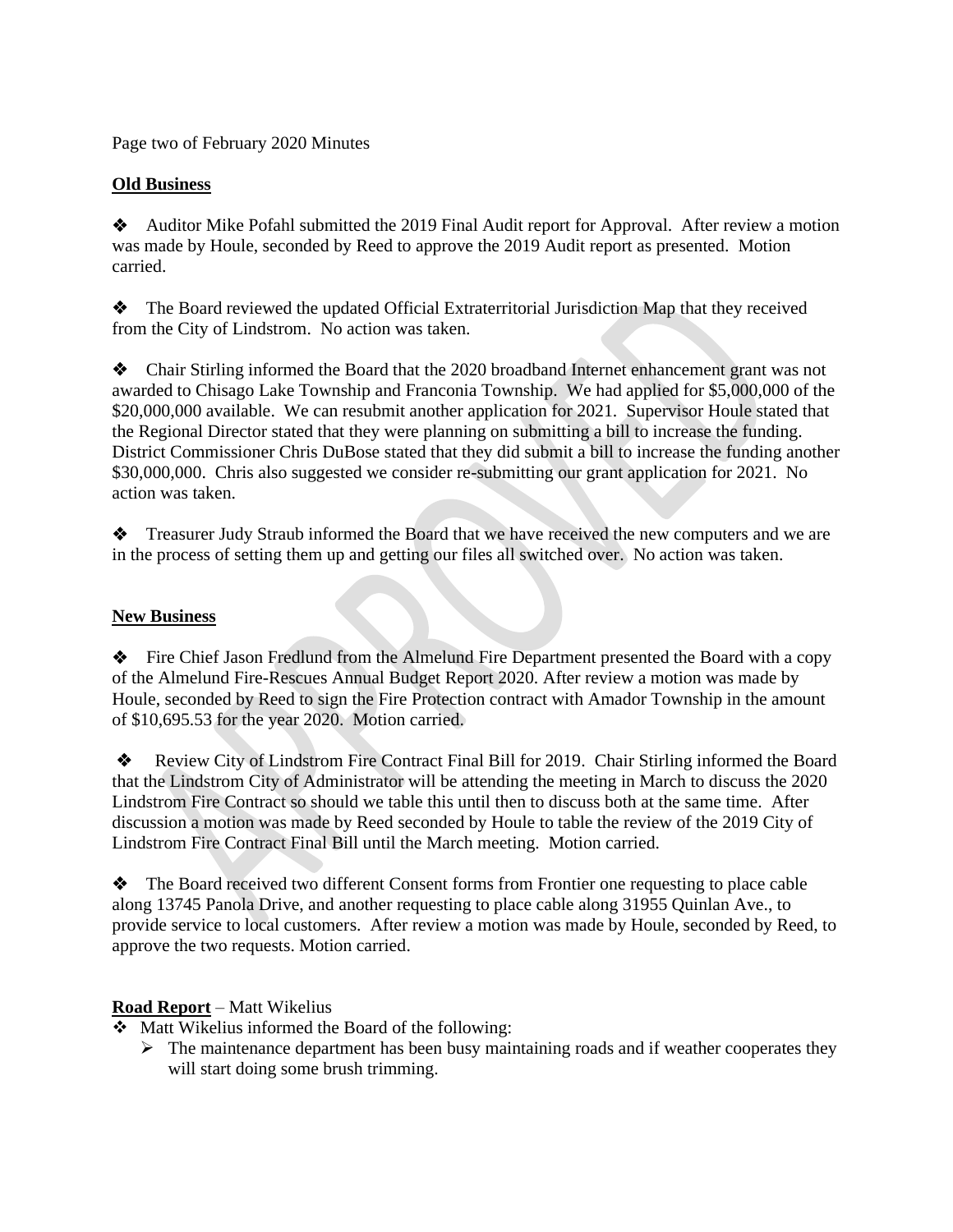Page two of February 2020 Minutes

### **Old Business**

❖Auditor Mike Pofahl submitted the 2019 Final Audit report for Approval. After review a motion was made by Houle, seconded by Reed to approve the 2019 Audit report as presented. Motion carried.

❖ The Board reviewed the updated Official Extraterritorial Jurisdiction Map that they received from the City of Lindstrom. No action was taken.

❖Chair Stirling informed the Board that the 2020 broadband Internet enhancement grant was not awarded to Chisago Lake Township and Franconia Township. We had applied for \$5,000,000 of the \$20,000,000 available. We can resubmit another application for 2021. Supervisor Houle stated that the Regional Director stated that they were planning on submitting a bill to increase the funding. District Commissioner Chris DuBose stated that they did submit a bill to increase the funding another \$30,000,000. Chris also suggested we consider re-submitting our grant application for 2021. No action was taken.

❖ Treasurer Judy Straub informed the Board that we have received the new computers and we are in the process of setting them up and getting our files all switched over. No action was taken.

#### **New Business**

❖ Fire Chief Jason Fredlund from the Almelund Fire Department presented the Board with a copy of the Almelund Fire-Rescues Annual Budget Report 2020. After review a motion was made by Houle, seconded by Reed to sign the Fire Protection contract with Amador Township in the amount of \$10,695.53 for the year 2020. Motion carried.

❖ Review City of Lindstrom Fire Contract Final Bill for 2019. Chair Stirling informed the Board that the Lindstrom City of Administrator will be attending the meeting in March to discuss the 2020 Lindstrom Fire Contract so should we table this until then to discuss both at the same time. After discussion a motion was made by Reed seconded by Houle to table the review of the 2019 City of Lindstrom Fire Contract Final Bill until the March meeting. Motion carried.

❖ The Board received two different Consent forms from Frontier one requesting to place cable along 13745 Panola Drive, and another requesting to place cable along 31955 Quinlan Ave., to provide service to local customers. After review a motion was made by Houle, seconded by Reed, to approve the two requests. Motion carried.

#### **Road Report** – Matt Wikelius

❖ Matt Wikelius informed the Board of the following:

 $\triangleright$  The maintenance department has been busy maintaining roads and if weather cooperates they will start doing some brush trimming.